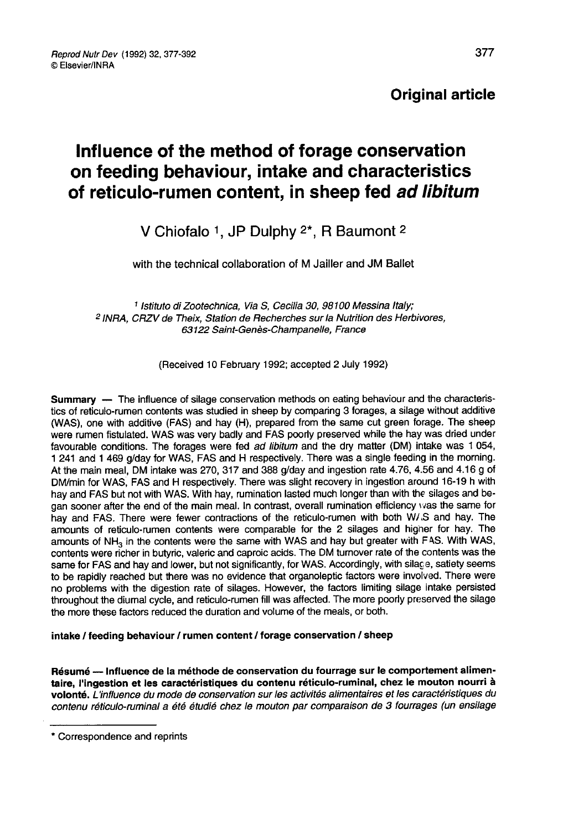Reprod Nutr Dev (1992) 32, 377-392 © Elsevier/INRA

## Original article

# Influence of the method of forage conservation on feeding behaviour, intake and characteristics of reticulo-rumen content, in sheep fed ad libitum

## V Chiofalo 1, JP Dulphy <sup>2\*</sup>, R Baumont <sup>2</sup>

with the technical collaboration of M Jailler and JM Ballet

1 Istituto di Zootechnica, Via S, Cecilia 30, 98100 Messina Italy; 2 INRA, CRZV de Theix, Station de Recherches sur la Nutrition des Herbivores, 63122 Saint-Genès-Champanelle, France

(Received 10 February 1992; accepted 2 July 1992)

Summary ― The influence of silage conservation methods on eating behaviour and the characteristics of reticulo-rumen contents was studied in sheep by comparing 3 forages, a silage without additive (WAS), one with additive (FAS) and hay (H), prepared from the same cut green forage. The sheep<br>were rumen fistulated. WAS was very badly and FAS poorly preserved while the hay was dried under favourable conditions. The forages were fed *ad libitum* and the dry matter (DM) intake was 1 054,<br>1 241 and 1 469 g/day for WAS, FAS and H respectively. There was a single feeding in the morning. At the main meal, DM intake was 270, 317 and 388 g/day and ingestion rate 4.76, 4.56 and 4.16 g of DM/min for WAS, FAS and H respectively. There was slight recovery in ingestion around 16-19 h with hay and FAS but not with WAS. With hay, rumination lasted much longer than with the silages and began sooner after the end of the main meal. In contrast, overall rumination efficiency was the same for hay and FAS. There were fewer contractions of the reticulo-rumen with both W/.S and hay. The amounts of reticulo-rumen contents were comparable for the 2 silages and higher for hay. The amounts of NH<sub>3</sub> in the contents were the same with WAS and hay but greater with FAS. With WAS, contents were richer in butyric, valeric and caproic acids. The DM turnover rate of the contents was the same for FAS and hay and lower, but not significantly, for WAS. Accordingly, with silage, satiety seems to be rapidly reached but there was no evidence that organoleptic factors were involved. There were no problems with the digestion rate of silages. However, the factors limiting silage intake persisted throughout the diumal cycle, and reticulo-rumen fill was affected. The more poorly preserved the silage the more these factors reduced the duration and volume of the meals, or both.

#### intake / feeding behaviour / rumen content / forage conservation / sheep

Résumé ― Influence de la méthode de conservation du fourrage sur le comportement alimentaire, l'ingestion et les caractéristiques du contenu réticulo-ruminal, chez le mouton nourri à volonté. L'influence du mode de conservation sur les activités alimentaires et les caractéristiques du contenu réticulo-ruminal a été étudié chez le mouton par comparaison de 3 fourrages (un ensilage

<sup>\*</sup> Correspondence and reprints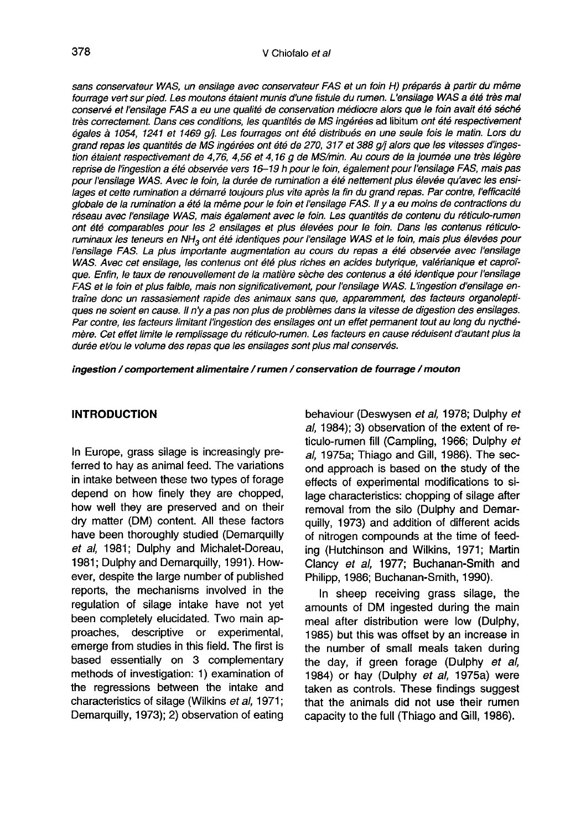sans conservateur WAS, un ensilage avec conservateur FAS et un foin H) préparés à partir du même fourrage vert sur pied. Les moutons étaient munis d'une fistule du rumen. L'ensilage WAS a été très mal conservé et l'ensilage FAS a eu une qualité de conservation médiocre alors que le foin avait été séché très correctement. Dans ces conditions, les quantités de MS ingérées ad libitum ont été respectivement égales à 1054, 1241 et 1469 q/i. Les fourrages ont été distribués en une seule fois le matin. Lors du grand repas les quantités de MS ingérées ont été de 270, 317 et 388 q/i alors que les vitesses d'ingestion étaient respectivement de 4,76, 4,56 et 4,16 g de MS/min. Au cours de la joumée une très légère reprise de l'ingestion a été observée vers 16-19 h pour le foin, également pour l'ensilage FAS, mais pas pour l'ensilage WAS. Avec le foin, la durée de rumination a été nettement plus élevée qu'avec les ensilages et cette rumination a démarré toujours plus vite après la fin du grand repas. Par contre, l'efficacité globale de la rumination a été la même pour le foin et l'ensilage FAS. Il y a eu moins de contractions du réseau avec l'ensilage WAS, mais également avec le foin. Les quantités de contenu du réticulo-rumen ont été comparables pour les 2 ensilages et plus élevées pour le foin. Dans les contenus réticuloruminaux les teneurs en NH<sub>3</sub> ont été identiques pour l'ensilage WAS et le foin, mais plus élevées pour l'ensilage FAS. La plus importante augmentation au cours du repas a été observée avec l'ensilage WAS. Avec cet ensilage, les contenus ont été plus riches en acides butyrique, valérianique et caprof que. Enfin, le taux de renouvellement de la matière sèche des contenus a été identique pour l'ensilage FAS et le foin et plus faible, mais non significativement, pour l'ensilage WAS. L ingestion d'ensilage entraîne donc un rassasiement rapide des animaux sans que, apparemment, des facteurs organoleptiques ne soient en cause. Il n'y a pas non plus de problèmes dans la vitesse de digestion des ensilages. Par contre, les facteurs limitant l'ingestion des ensilages ont un effet permanent tout au long du nycthémère. Cet effet limite le remplissage du réticulo-rumen. Les facteurs en cause réduisent d'autant plus la durée et/ou le volume des repas que les ensilages sont plus mal conservés.

ingestion / comportement alimentaire / rumen / conservation de fourrage / mouton

#### INTRODUCTION

In Europe, grass silage is increasingly preferred to hay as animal feed. The variations in intake between these two types of forage depend on how finely they are chopped, how well they are preserved and on their dry matter (DM) content. All these factors have been thoroughly studied (Demarquilly et al, 1981; Dulphy and Michalet-Doreau, 1981; Dulphy and Demarquilly, 1991). However, despite the large number of published reports, the mechanisms involved in the regulation of silage intake have not yet been completely elucidated. Two main approaches, descriptive or experimental, descriptive or experimental, emerge from studies in this field. The first is based essentially on 3 complementary methods of investigation: 1) examination of the regressions between the intake and characteristics of silage (Wilkins et al, 1971; Demarquilly, 1973); 2) observation of eating behaviour (Deswysen et al, 1978; Dulphy et al, 1984); 3) observation of the extent of reticulo-rumen fill (Campling, 1966; Dulphy et al, 1975a; Thiago and Gill, 1986). The second approach is based on the study of the effects of experimental modifications to silage characteristics: chopping of silage after removal from the silo (Dulphy and Demarquilly, 1973) and addition of different acids of nitrogen compounds at the time of feeding (Hutchinson and Wilkins, 1971; Martin Clancy et al, 1977; Buchanan-Smith and Philipp, 1986; Buchanan-Smith, 1990).

In sheep receiving grass silage, the amounts of DM ingested during the main meal after distribution were low (Dulphy, 1985) but this was offset by an increase in the number of small meals taken during the day, if green forage (Dulphy et al, 1984) or hay (Dulphy et al, 1975a) were taken as controls. These findings suggest that the animals did not use their rumen capacity to the full (Thiago and Gill, 1986).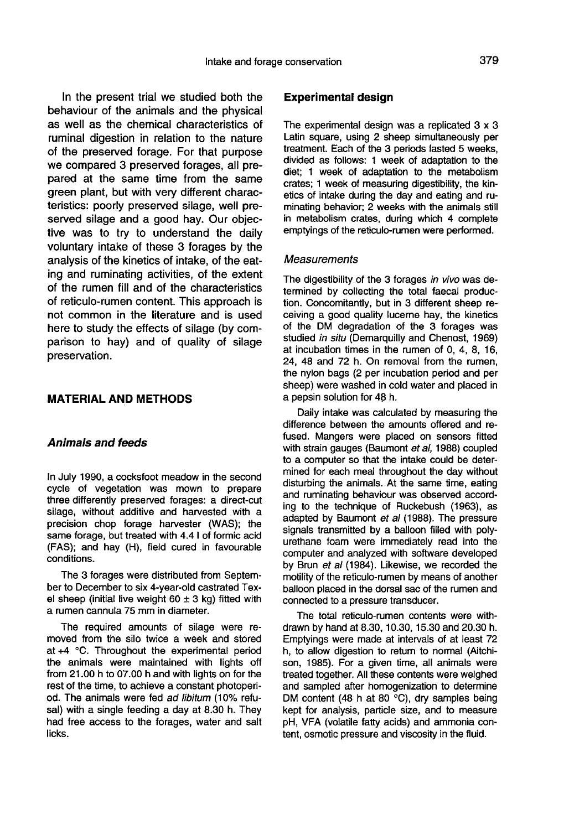In the present trial we studied both the behaviour of the animals and the physical as well as the chemical characteristics of ruminal digestion in relation to the nature of the preserved forage. For that purpose we compared 3 preserved forages, all prepared at the same time from the same green plant, but with very different characteristics: poorly preserved silage, well preserved silage and a good hay. Our objective was to try to understand the daily voluntary intake of these 3 forages by the analysis of the kinetics of intake, of the eating and ruminating activities, of the extent of the rumen fill and of the characteristics of reticulo-rumen content. This approach is not common in the literature and is used here to study the effects of silage (by comparison to hay) and of quality of silage preservation.

#### MATERIAL AND METHODS

#### Animals and feeds

In July 1990, a cocksfoot meadow in the second cycle of vegetation was mown to prepare three differently preserved forages: a direct-cut silage, without additive and harvested with a precision chop forage harvester (WAS); the same forage, but treated with 4.4 1 of formic acid (FAS); and hay (H), field cured in favourable conditions.

The 3 forages were distributed from September to December to six 4-year-old castrated Texel sheep (initial live weight  $60 \pm 3$  kg) fitted with a rumen cannula 75 mm in diameter.

The required amounts of silage were removed from the silo twice a week and stored at +4 °C. Throughout the experimental period the animals were maintained with lights off from 21.00 h to 07.00 h and with lights on for the rest of the time, to achieve a constant photoperiod. The animals were fed ad libitum (10% refusal) with a single feeding a day at 8.30 h. They had free access to the forages, water and salt licks.

#### Experimental design

The experimental design was a replicated 3 x 3 Latin square, using 2 sheep simultaneously per treatment. Each of the 3 periods lasted 5 weeks, divided as follows: 1 week of adaptation to the diet; 1 week of adaptation to the metabolism crates; 1 week of measuring digestibility, the kinetics of intake during the day and eating and ruminating behavior; 2 weeks with the animals still in metabolism crates, during which 4 complete emptyings of the reticulo-rumen were performed.

#### Measurements

The digestibility of the 3 forages in vivo was determined by collecting the total faecal production. Concomitantly, but in 3 different sheep receiving a good quality lucerne hay, the kinetics of the DM degradation of the 3 forages was studied in situ (Demarquilly and Chenost, 1969) at incubation times in the rumen of 0, 4, 8, 16, 24, 48 and 72 h. On removal from the rumen, the nylon bags (2 per incubation period and per sheep) were washed in cold water and placed in a pepsin solution for 48 h.

Daily intake was calculated by measuring the difference between the amounts offered and refused. Mangers were placed on sensors fitted with strain gauges (Baumont et al, 1988) coupled to a computer so that the intake could be determined for each meal throughout the day without disturbing the animals. At the same time, eating and ruminating behaviour was observed according to the technique of Ruckebush (1963), as adapted by Baumont et al (1988). The pressure signals transmitted by a balloon filled with polyurethane foam were immediately read into the computer and analyzed with software developed by Brun et al (1984). Likewise, we recorded the motility of the reticulo-rumen by means of another balloon placed in the dorsal sac of the rumen and connected to a pressure transducer.

The total reticulo-rumen contents were withdrawn by hand at 8.30, 10.30, 15.30 and 20.30 h. Emptyings were made at intervals of at least 72 h, to allow digestion to retum to normal (Aitchi son, 1985). For a given time, all animals were treated together. All these contents were weighed and sampled after homogenization to determine DM content (48 h at 80 °C), dry samples being kept for analysis, particle size, and to measure pH, VFA (volatile fatty acids) and ammonia content, osmotic pressure and viscosity in the fluid.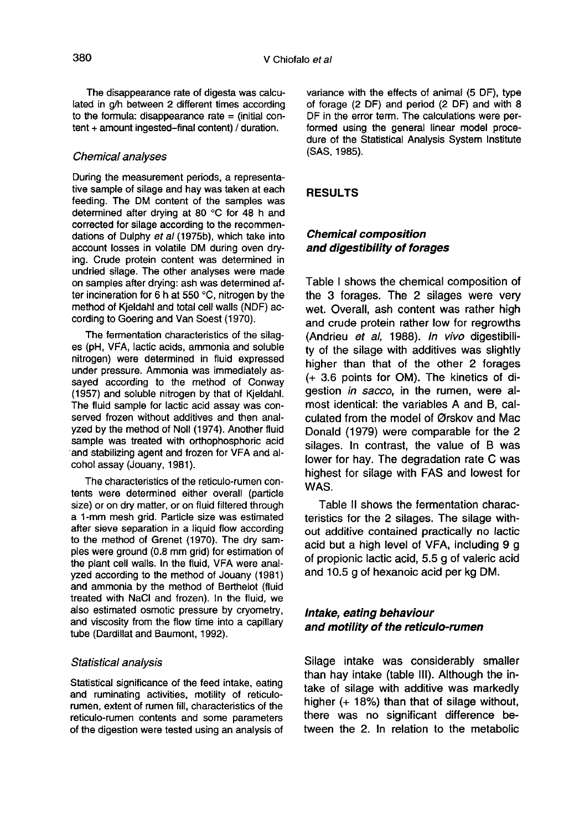The disappearance rate of digesta was calculated in q/h between 2 different times according to the formula: disappearance rate  $=$  (initial content + amount ingested-final content) / duration.

#### Chemical analyses

During the measurement periods, a representative sample of silage and hay was taken at each feeding. The DM content of the samples was determined after drying at 80 °C for 48 h and corrected for silage according to the recommendations of Dulphy et al (1975b), which take into account losses in volatile DM during oven drying. Crude protein content was determined in undried silage. The other analyses were made on samples after drying: ash was determined after incineration for 6 h at 550 °C, nitrogen by the method of Kjeldahl and total cell walls (NDF) according to Goering and Van Soest (1970).

The fermentation characteristics of the silag es (pH, VFA, lactic acids, ammonia and soluble nitrogen) were determined in fluid expressed under pressure. Ammonia was immediately assayed according to the method of Conway (1957) and soluble nitrogen by that of Kjeldahl. The fluid sample for lactic acid assay was conserved frozen without additives and then analyzed by the method of Noll (1974). Another fluid sample was treated with orthophosphoric acid and stabilizing agent and frozen for VFA and alcohol assay (Jouany, 1981 ).

The characteristics of the reticulo-rumen contents were determined either overall (particle size) or on dry matter, or on fluid filtered through a 1-mm mesh grid. Particle size was estimated after sieve separation in a liquid flow according to the method of Grenet (1970). The dry samples were ground (0.8 mm grid) for estimation of the plant cell walls. In the fluid, VFA were analyzed according to the method of Jouany (1981) and ammonia by the method of Berthelot (fluid treated with NaCl and frozen). In the fluid, we also estimated osmotic pressure by cryometry, and viscosity from the flow time into a capillary tube (Dardillat and Baumont, 1992).

#### Statistical analysis

Statistical significance of the feed intake, eating and ruminating activities, motility of reticulorumen, extent of rumen fill, characteristics of the reticulo-rumen contents and some parameters of the digestion were tested using an analysis of variance with the effects of animal (5 DF), type of forage (2 DF) and period (2 DF) and with 8 DF in the error term. The calculations were performed using the general linear model procedure of the Statistical Analysis System Institute (SAS, 1985).

#### RESULTS

## Chemical composition and digestibility of forages

Table I shows the chemical composition of the 3 forages. The 2 silages were very wet. Overall, ash content was rather high and crude protein rather low for regrowths (Andrieu et al, 1988). In vivo digestibility of the silage with additives was slightly higher than that of the other 2 forages (+ 3.6 points for OM). The kinetics of digestion in sacco, in the rumen, were almost identical: the variables A and B, calculated from the model of Ørskov and Mac Donald (1979) were comparable for the 2 silages. In contrast, the value of B was lower for hay. The degradation rate C was highest for silage with FAS and lowest for WAS.

Table II shows the fermentation characteristics for the 2 silages. The silage without additive contained practically no lactic acid but a high level of VFA, including 9 g of propionic lactic acid, 5.5 g of valeric acid and 10.5 g of hexanoic acid per kg DM.

## Intake, eating behaviour and motility of the reticulo-rumen

Silage intake was considerably smaller than hay intake (table 111). Although the intake of silage with additive was markedly higher (+ 18%) than that of silage without, there was no significant difference between the 2. In relation to the metabolic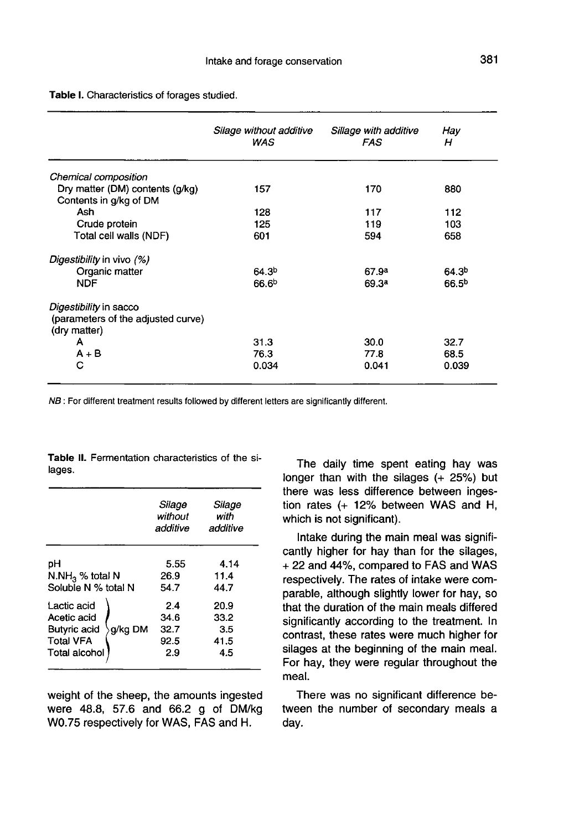Table I. Characteristics of forages studied.

|                                                           | Silage without additive<br>WAS | Sillage with additive<br>FAS | Hay<br>н          |
|-----------------------------------------------------------|--------------------------------|------------------------------|-------------------|
| Chemical composition                                      |                                |                              |                   |
| Dry matter (DM) contents (g/kg)<br>Contents in g/kg of DM | 157                            | 170                          | 880               |
| Ash                                                       | 128                            | 117                          | 112               |
| Crude protein                                             | 125                            | 119                          | 103               |
| Total cell walls (NDF)                                    | 601                            | 594                          | 658               |
| Digestibility in vivo (%)                                 |                                |                              |                   |
| Organic matter                                            | 64.3 <sup>b</sup>              | 67.9 <sup>a</sup>            | 64.3 <sup>b</sup> |
| <b>NDF</b>                                                | 66.6 <sup>b</sup>              | 69.3ª                        | 66.5 <sup>b</sup> |
| Digestibility in sacco                                    |                                |                              |                   |
| (parameters of the adjusted curve)<br>(dry matter)        |                                |                              |                   |
| А                                                         | 31.3                           | 30.0                         | 32.7              |
| $A + B$                                                   | 76.3                           | 77.8                         | 68.5              |
| С                                                         | 0.034                          | 0.041                        | 0.039             |

NB: For different treatment results followed by different letters are significantly different.

|                             |         | Silage<br>without<br>additive | Silage<br>with<br>additive |
|-----------------------------|---------|-------------------------------|----------------------------|
| рH                          |         | 5.55                          | 4.14                       |
| N.NH <sub>3</sub> % total N |         | 26.9                          | 11.4                       |
| Soluble N % total N         |         | 54.7                          | 44.7                       |
| Lactic acid                 | g/kg DM | 24                            | 20.9                       |
| Acetic acid                 |         | 34.6                          | 33.2                       |
| <b>Butyric acid</b>         |         | 32.7                          | 3.5                        |
| <b>Total VFA</b>            |         | 92.5                          | 41.5                       |
| Total alcohol               |         | 2.9                           | 4.5                        |

Table II. Fermentation characteristics of the silages.

weight of the sheep, the amounts ingested were 48.8, 57.6 and 66.2 g of DM/kg W0.75 respectively for WAS, FAS and H.

The daily time spent eating hay was longer than with the silages (+ 25%) but there was less difference between ingestion rates (+ 12% between WAS and H, which is not significant).

Intake during the main meal was significantly higher for hay than for the silages, + 22 and 44%, compared to FAS and WAS respectively. The rates of intake were comparable, although slightly lower for hay, so that the duration of the main meals differed significantly according to the treatment. In contrast, these rates were much higher for silages at the beginning of the main meal. For hay, they were regular throughout the meal.

There was no significant difference between the number of secondary meals a day.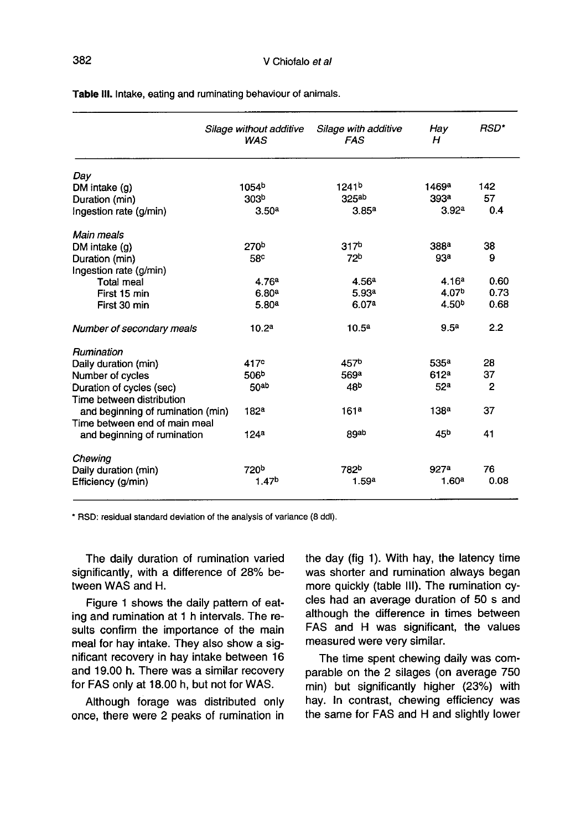|                                   | Silage without additive<br><b>WAS</b> | Silage with additive<br><b>FAS</b> | Hay<br>н          | RSD*           |
|-----------------------------------|---------------------------------------|------------------------------------|-------------------|----------------|
| Day                               |                                       |                                    |                   |                |
| DM intake (g)                     | 1054 <sup>b</sup>                     | 1241 <sup>b</sup>                  | 1469ª             | 142            |
| Duration (min)                    | 303 <sub>p</sub>                      | 325 <sup>ab</sup>                  | 393 <sup>a</sup>  | 57             |
| Ingestion rate (g/min)            | 3.50 <sup>a</sup>                     | 3.85 <sup>a</sup>                  | 3.92 <sup>a</sup> | 0.4            |
| Main meals                        |                                       |                                    |                   |                |
| DM intake $(q)$                   | 270 <sup>b</sup>                      | 317 <sup>b</sup>                   | 388 <sup>a</sup>  | 38             |
| Duration (min)                    | 58 <sup>c</sup>                       | 72 <sup>b</sup>                    | 93a               | 9              |
| Ingestion rate (g/min)            |                                       |                                    |                   |                |
| <b>Total meal</b>                 | 4.76a                                 | 4.56 <sup>a</sup>                  | 4.16 <sup>a</sup> | 0.60           |
| First 15 min                      | 6.80 <sup>a</sup>                     | 5.93a                              | 4.07 <sup>b</sup> | 0.73           |
| First 30 min                      | 5.80 <sup>a</sup>                     | 6.07a                              | 4.50 <sup>b</sup> | 0.68           |
| Number of secondary meals         | 10.2 <sup>a</sup>                     | 10.5 <sup>a</sup>                  | 9.5 <sup>a</sup>  | 2.2            |
| Rumination                        |                                       |                                    |                   |                |
| Daily duration (min)              | 417 <sup>c</sup>                      | 457 <sup>b</sup>                   | 535 <sup>a</sup>  | 28             |
| Number of cycles                  | 506 <sup>b</sup>                      | 569a                               | 612a              | 37             |
| Duration of cycles (sec)          | 50ab                                  | 48 <sup>b</sup>                    | 52 <sup>a</sup>   | $\overline{2}$ |
| Time between distribution         |                                       |                                    |                   |                |
| and beginning of rumination (min) | 182 <sup>a</sup>                      | 161 <sup>a</sup>                   | 138 <sup>a</sup>  | 37             |
| Time between end of main meal     |                                       |                                    |                   |                |
| and beginning of rumination       | 124 <sup>a</sup>                      | 89ab                               | 45b               | 41             |
| Chewing                           |                                       |                                    |                   |                |
| Daily duration (min)              | 720 <sup>b</sup>                      | 782 <sup>b</sup>                   | 927 <sup>a</sup>  | 76             |
| Efficiency (g/min)                | 1.47 <sup>b</sup>                     | 1.59 <sup>a</sup>                  | 1.60 <sup>a</sup> | 0.08           |
|                                   |                                       |                                    |                   |                |

Table III. Intake, eating and ruminating behaviour of animals.

\* RSD: residual standard deviation of the analysis of variance (8 ddl).

The daily duration of rumination varied significantly, with a difference of 28% between WAS and H.

Figure 1 shows the daily pattern of eating and rumination at 1 h intervals. The results confirm the importance of the main meal for hay intake. They also show a significant recovery in hay intake between 16 and 19.00 h. There was a similar recovery for FAS only at 18.00 h, but not for WAS.

Although forage was distributed only once, there were 2 peaks of rumination in the day (fig 1). With hay, the latency time was shorter and rumination always began more quickly (table 111). The rumination cycles had an average duration of 50 s and although the difference in times between FAS and H was significant, the values measured were very similar.

The time spent chewing daily was comparable on the 2 silages (on average 750 min) but significantly higher (23%) with hay. In contrast, chewing efficiency was the same for FAS and H and slightly lower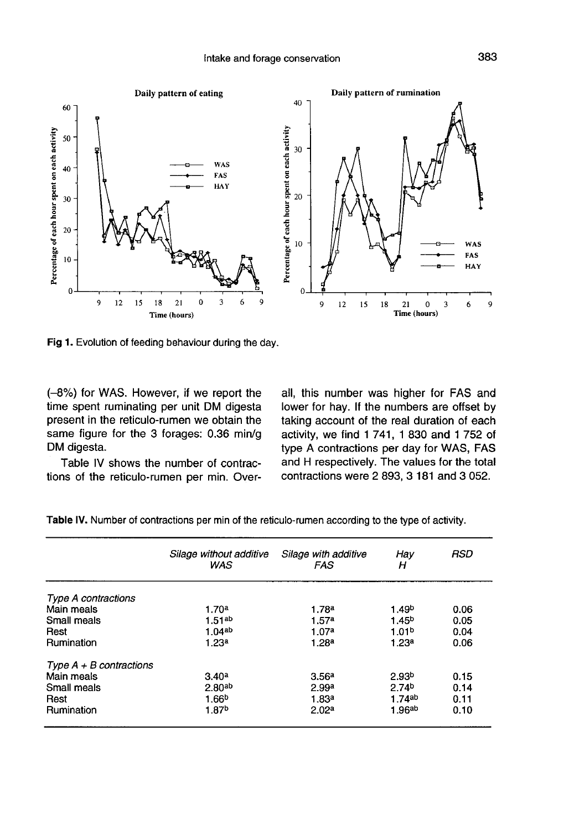

Fig 1. Evolution of feeding behaviour during the day.

(-8%) for WAS. However, if we report the time spent ruminating per unit DM digesta present in the reticulo-rumen we obtain the same figure for the 3 forages: 0.36 min/g DM digesta.

Table IV shows the number of contractions of the reticulo-rumen per min. Overall, this number was higher for FAS and lower for hay. If the numbers are offset by taking account of the real duration of each activity, we find 1 741, 1 830 and 1 752 of type A contractions per day for WAS, FAS and H respectively. The values for the total contractions were 2 893, 3 181 and 3 052.

|                            | Silage without additive<br><b>WAS</b> | Silage with additive<br><b>FAS</b> | Hay<br>н          | RSD  |
|----------------------------|---------------------------------------|------------------------------------|-------------------|------|
| <b>Type A contractions</b> |                                       |                                    |                   |      |
| Main meals                 | 1.70 <sup>a</sup>                     | 1.78a                              | 1.49 <sup>b</sup> | 0.06 |
| Small meals                | $1.51^{ab}$                           | 1.57 <sup>a</sup>                  | 1.45 <sup>b</sup> | 0.05 |
| Rest                       | 1.04 <sup>ab</sup>                    | 1.07a                              | 1.01 <sup>b</sup> | 0.04 |
| Rumination                 | 1.23 <sup>a</sup>                     | 1.28 <sup>a</sup>                  | 1.23 <sup>a</sup> | 0.06 |
| Type $A + B$ contractions  |                                       |                                    |                   |      |
| Main meals                 | 3.40 <sup>a</sup>                     | 3.56 <sup>a</sup>                  | 2.93 <sup>b</sup> | 0.15 |
| Small meals                | 2.80 <sup>ab</sup>                    | 2.99a                              | 2.74 <sup>b</sup> | 0.14 |
| Rest                       | 1.66 <sup>b</sup>                     | 1.83a                              | 1.74ab            | 0.11 |
| Rumination                 | 1.87 <sup>b</sup>                     | 2.02 <sup>a</sup>                  | 1.96ab            | 0.10 |
|                            |                                       |                                    |                   |      |

Table IV. Number of contractions per min of the reticulo-rumen according to the type of activity.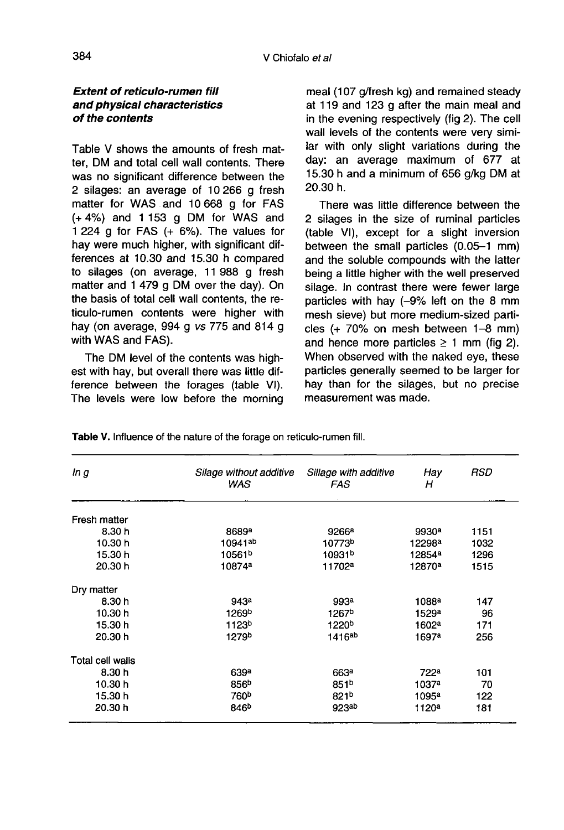## Extent of reticulo-rumen fill and physical characteristics of the contents

Table V shows the amounts of fresh matter, DM and total cell wall contents. There was no significant difference between the 2 silages: an average of 10 266 g fresh matter for WAS and 10 668 g for FAS (+ 4%) and 1 153 g DM for WAS and 1 224  $\alpha$  for FAS  $(+ 6\%)$ . The values for hay were much higher, with significant differences at 10.30 and 15.30 h compared to silages (on average, 11 988 g fresh matter and 1 479 g DM over the day). On the basis of total cell wall contents, the reticulo-rumen contents were higher with hay (on average, 994 g vs 775 and 814 g with WAS and FAS).

The DM level of the contents was highest with hay, but overall there was little difference between the forages (table VI). The levels were low before the morning meal (107 g/fresh kg) and remained steady at 119 and 123 g after the main meal and in the evening respectively (fig 2). The cell wall levels of the contents were very similar with only slight variations during the day: an average maximum of 677 at 15.30 h and a minimum of 656 g/kg DM at 20.30 h.

There was little difference between the 2 silages in the size of ruminal particles (table VI), except for a slight inversion between the small particles (0.05-1 mm) and the soluble compounds with the latter being a little higher with the well preserved silage. In contrast there were fewer large particles with hay (-9% left on the 8 mm mesh sieve) but more medium-sized particles (+ 70% on mesh between 1-8 mm) and hence more particles  $\geq 1$  mm (fig 2). When observed with the naked eye, these particles generally seemed to be larger for hay than for the silages, but no precise measurement was made.

**RSD** In g Silage without additive Sillage with additive Hay **WAS FAS** н Fresh matter 8.30h 8689<sup>a</sup> 9266<sup>a</sup> 9930<sup>a</sup> 1151 10.30 h 10941ab 10773b 12298ª 1032 15.30 h 10561b 10931b 12854<sup>a</sup> 1296 20.30h 10874ª 11702<sup>a</sup> 12870<sup>a</sup> 1515 Dry matter 943<sup>a</sup> 147 8.30h 993<sup>a</sup> 1088<sup>a</sup> 10.30 h 1267<sup>b</sup> 1269b 1529a 96 15.30h 1123<sup>b</sup> 1220<sup>b</sup> 171 1602ª 20.30 h 1279b 1416ab 1697<sup>a</sup> 256 Total cell walls 8.30h 639<sup>a</sup> 663ª 722ª 101 10.30 h 856<sup>b</sup> 851<sup>b</sup> 1037a 70 15.30 h 760<sup>b</sup> 821b 1095<sup>a</sup> 122 20.30 h 846<sup>b</sup> 923ab 1120<sup>a</sup> 181

Table V. Influence of the nature of the forage on reticulo-rumen fill.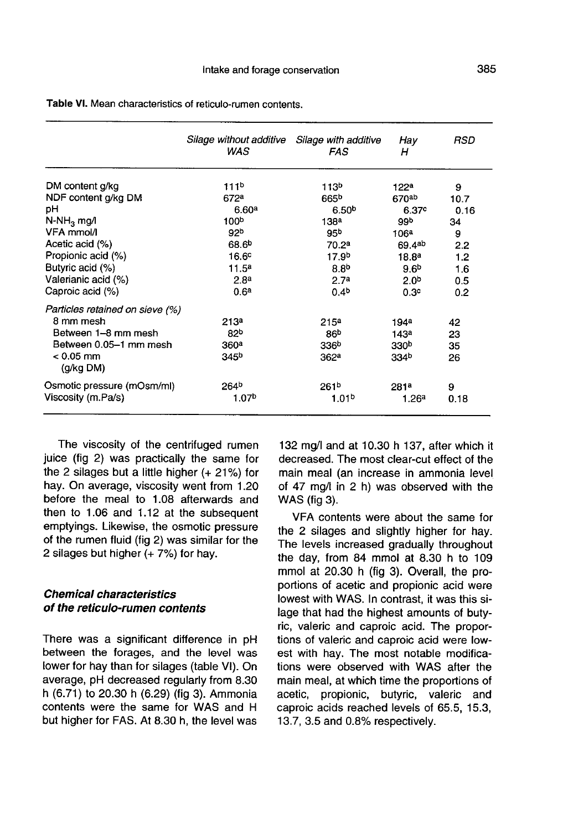|                                 | Silage without additive<br>WAS | Silage with additive<br>FAS | Hay<br>н          | RSD  |
|---------------------------------|--------------------------------|-----------------------------|-------------------|------|
| DM content g/kg                 | 111 <sup>b</sup>               | 113 <sup>b</sup>            | 122 <sup>a</sup>  | 9    |
| NDF content g/kg DM             | 672a                           | 665 <sup>p</sup>            | 670ab             | 10.7 |
| рH                              | 6.60 <sup>a</sup>              | 6.50 <sup>b</sup>           | 6.37 <sup>c</sup> | 0.16 |
| $N-NH_3$ mg/l                   | 100 <sup>b</sup>               | 138 <sup>a</sup>            | 99 <sub>b</sub>   | 34   |
| VFA mmol/l                      | 92 <sup>b</sup>                | 95 <sup>b</sup>             | 106a              | 9    |
| Acetic acid (%)                 | 68.6 <sup>b</sup>              | 70.2 <sup>a</sup>           | 69.4ab            | 2.2  |
| Propionic acid (%)              | 16.6 <sup>c</sup>              | 17.9 <sup>b</sup>           | 18.8 <sup>a</sup> | 1.2  |
| Butyric acid (%)                | 11.5 <sup>a</sup>              | 8.8 <sup>b</sup>            | 9.6 <sup>b</sup>  | 1.6  |
| Valerianic acid (%)             | 2.8 <sup>a</sup>               | 2.7 <sup>a</sup>            | 2.0 <sup>b</sup>  | 0.5  |
| Caproic acid (%)                | 0.6 <sup>a</sup>               | 0.4 <sup>b</sup>            | 0.3 <sup>c</sup>  | 0.2  |
| Particles retained on sieve (%) |                                |                             |                   |      |
| 8 mm mesh                       | 213a                           | 215 <sup>a</sup>            | 194ª              | 42   |
| Between 1-8 mm mesh             | 82 <sup>b</sup>                | 86 <sup>b</sup>             | 143 <sup>a</sup>  | 23   |
| Between 0.05-1 mm mesh          | 360 <sup>a</sup>               | 336 <sup>b</sup>            | 330 <sup>b</sup>  | 35   |
| $< 0.05$ mm<br>(g/kg DM)        | 345 <sup>b</sup>               | 362 <sup>a</sup>            | 334b              | 26   |
| Osmotic pressure (mOsm/ml)      | 264 <sup>b</sup>               | 261 <sup>b</sup>            | 281 <sup>a</sup>  | 9    |
| Viscosity (m.Pa/s)              | 1.07 <sup>b</sup>              | 1.01 <sup>b</sup>           | 1.26a             | 0.18 |

Table VI. Mean characteristics of reticulo-rumen contents.

The viscosity of the centrifuged rumen juice (fig 2) was practically the same for the 2 silages but a little higher (+ 21%) for hay. On average, viscosity went from 1.20 before the meal to 1.08 afterwards and then to 1.06 and 1.12 at the subsequent emptyings. Likewise, the osmotic pressure of the rumen fluid (fig 2) was similar for the 2 silages but higher  $(+ 7%)$  for hay.

### Chemical characteristics of the reticulo-rumen contents

There was a significant difference in pH between the forages, and the level was lower for hay than for silages (table VI). On average, pH decreased regularly from 8.30 h (6.71) to 20.30 h (6.29) (fig 3). Ammonia contents were the same for WAS and H but higher for FAS. At 8.30 h, the level was 132 mg/I and at 10.30 h 137, after which it decreased. The most clear-cut effect of the main meal (an increase in ammonia level of 47 mg/I in 2 h) was observed with the WAS (fig 3).

VFA contents were about the same for the 2 silages and slightly higher for hay. The levels increased gradually throughout the day, from 84 mmol at 8.30 h to 109 mmol at 20.30 h (fig 3). Overall, the proportions of acetic and propionic acid were lowest with WAS. In contrast, it was this silage that had the highest amounts of butyric, valeric and caproic acid. The proportions of valeric and caproic acid were lowest with hay. The most notable modifications were observed with WAS after the main meal, at which time the proportions of acetic, propionic, butyric, valeric and caproic acids reached levels of 65.5, 15.3, 13.7, 3.5 and 0.8% respectively.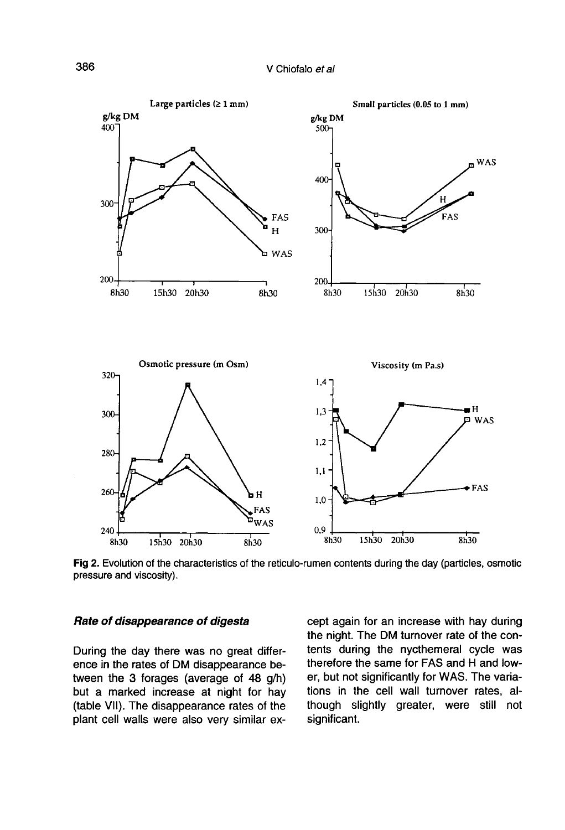

Fig 2. Evolution of the characteristics of the reticulo-rumen contents during the day (particles, osmotic pressure and viscosity).

#### Rate of disappearance of digesta

During the day there was no great difference in the rates of DM disappearance between the 3 forages (average of 48 g/h) but a marked increase at night for hay (table VII). The disappearance rates of the plant cell walls were also very similar except again for an increase with hay during the night. The DM turnover rate of the contents during the nycthemeral cycle was therefore the same for FAS and H and lower, but not significantly for WAS. The variations in the cell wall turnover rates, although slightly greater, were still not significant.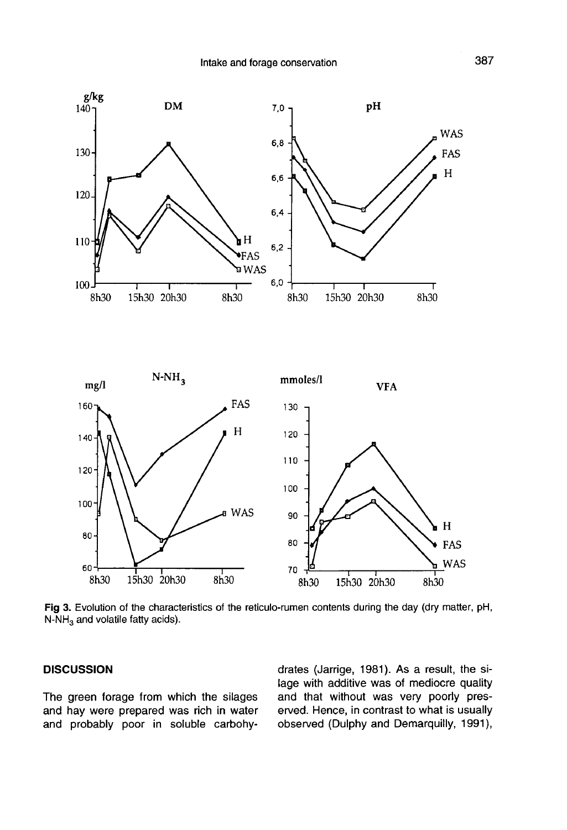

Fig 3. Evolution of the characteristics of the reticulo-rumen contents during the day (dry matter, pH,  $N-NH_3$  and volatile fatty acids).

## **DISCUSSION**

The green forage from which the silages and hay were prepared was rich in water and probably poor in soluble carbohydrates (Jarrige, 1981). As a result, the silage with additive was of mediocre quality and that without was very poorly preserved. Hence, in contrast to what is usually observed (Dulphy and Demarquilly, 1991),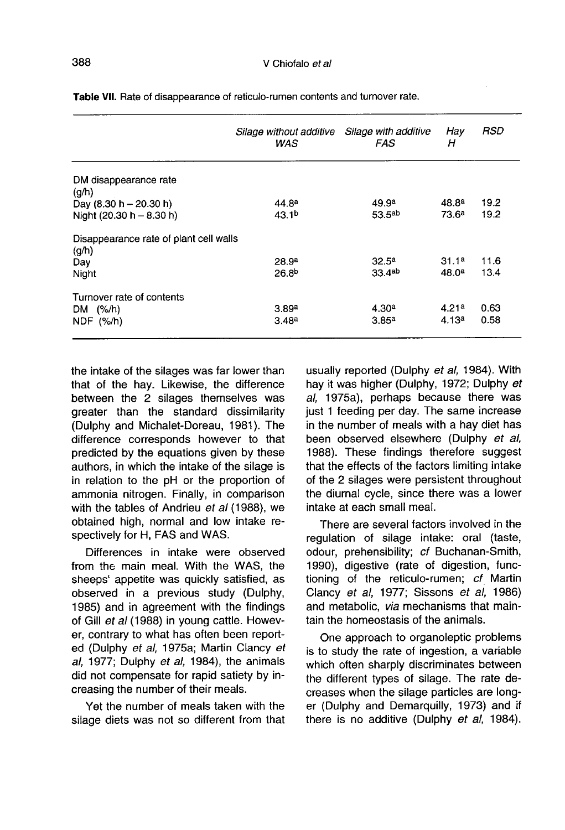|                                                 | Silage without additive<br>WAS | Silage with additive<br>FAS | Hay<br>н          | RSD  |
|-------------------------------------------------|--------------------------------|-----------------------------|-------------------|------|
| DM disappearance rate                           |                                |                             |                   |      |
| (q/h)                                           |                                |                             |                   |      |
| Day $(8.30 h - 20.30 h)$                        | 44.8 <sup>a</sup>              | 49.9 <sup>a</sup>           | 48.8ª             | 19.2 |
| Night $(20.30 h - 8.30 h)$                      | 43.1 <sup>b</sup>              | 53.5 <sup>ab</sup>          | 73.6 <sup>a</sup> | 19.2 |
| Disappearance rate of plant cell walls<br>(g/h) |                                |                             |                   |      |
| Day                                             | 28.9 <sup>a</sup>              | 32.5 <sup>a</sup>           | 31.1a             | 11.6 |
| Night                                           | 26.8 <sup>b</sup>              | 33.4ab                      | 48.0 <sup>a</sup> | 13.4 |
| Turnover rate of contents                       |                                |                             |                   |      |
| DM $(%/h)$                                      | 3.89a                          | 4.30 <sup>a</sup>           | 4.21a             | 0.63 |
| NDF (%/h)                                       | 3.48a                          | 3.85a                       | 4.13a             | 0.58 |

Table VII. Rate of disappearance of reticulo-rumen contents and turnover rate.

the intake of the silages was far lower than that of the hay. Likewise, the difference between the 2 silages themselves was greater than the standard dissimilarity (Dulphy and Michalet-Doreau, 1981). The difference corresponds however to that predicted by the equations given by these authors, in which the intake of the silage is in relation to the pH or the proportion of ammonia nitrogen. Finally, in comparison with the tables of Andrieu et al (1988), we obtained high, normal and low intake respectively for H, FAS and WAS.

Differences in intake were observed from the main meal. With the WAS, the sheeps' appetite was quickly satisfied, as observed in a previous study (Dulphy, 1985) and in agreement with the findings of Gill et al (1988) in young cattle. However, contrary to what has often been reported (Dulphy et al, 1975a; Martin Clancy et al, 1977; Dulphy et al, 1984), the animals did not compensate for rapid satiety by increasing the number of their meals.

Yet the number of meals taken with the silage diets was not so different from that usually reported (Dulphy et al, 1984). With hay it was higher (Dulphy, 1972; Dulphy et al, 1975a), perhaps because there was just 1 feeding per day. The same increase in the number of meals with a hay diet has been observed elsewhere (Dulphy et al, 1988). These findings therefore suggest that the effects of the factors limiting intake of the 2 silages were persistent throughout the diurnal cycle, since there was a lower intake at each small meal.

There are several factors involved in the regulation of silage intake: oral (taste, odour, prehensibility; cf Buchanan-Smith, 1990), digestive (rate of digestion, functioning of the reticulo-rumen; cf Martin Clancy et al, 1977; Sissons et al, 1986) and metabolic, via mechanisms that maintain the homeostasis of the animals.

One approach to organoleptic problems is to study the rate of ingestion, a variable which often sharply discriminates between the different types of silage. The rate decreases when the silage particles are long er (Dulphy and Demarquilly, 1973) and if there is no additive (Dulphy et al, 1984).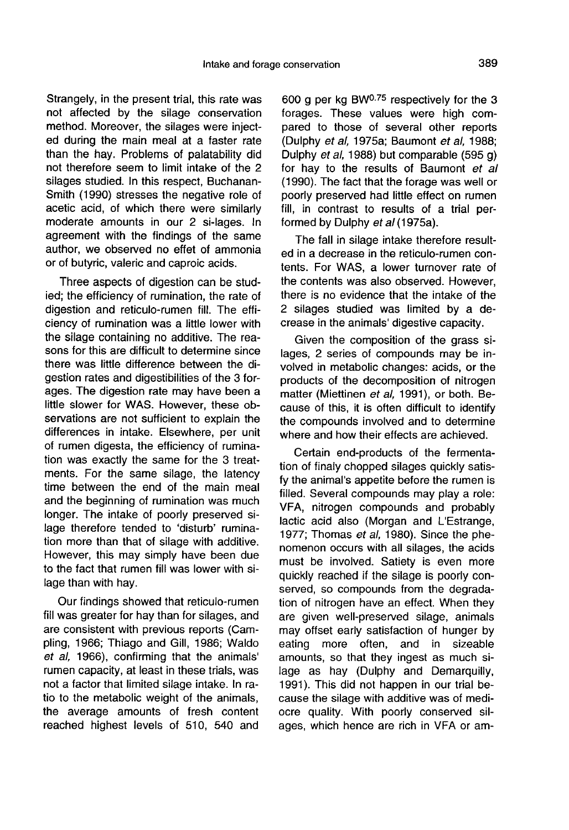Strangely, in the present trial, this rate was not affected by the silage conservation method. Moreover, the silages were injected during the main meal at a faster rate than the hay. Problems of palatability did not therefore seem to limit intake of the 2 silages studied. In this respect, Buchanan-Smith (1990) stresses the negative role of acetic acid, of which there were similarly moderate amounts in our 2 si-lages. In agreement with the findings of the same author, we observed no effet of ammonia or of butyric, valeric and caproic acids.

Three aspects of digestion can be studied; the efficiency of rumination, the rate of digestion and reticulo-rumen fill. The efficiency of rumination was a little lower with the silage containing no additive. The reasons for this are difficult to determine since there was little difference between the digestion rates and digestibilities of the 3 forages. The digestion rate may have been a little slower for WAS. However, these observations are not sufficient to explain the differences in intake. Elsewhere, per unit of rumen digesta, the efficiency of rumination was exactly the same for the 3 treatments. For the same silage, the latency time between the end of the main meal and the beginning of rumination was much longer. The intake of poorly preserved silage therefore tended to 'disturb' rumination more than that of silage with additive. However, this may simply have been due to the fact that rumen fill was lower with silage than with hay.

Our findings showed that reticulo-rumen fill was greater for hay than for silages, and are consistent with previous reports (Campling, 1966; Thiago and Gill, 1986; Waldo et al, 1966), confirming that the animals' rumen capacity, at least in these trials, was not a factor that limited silage intake. In ratio to the metabolic weight of the animals, the average amounts of fresh content reached highest levels of 510, 540 and

589 Intake and forage conservation<br>-<br>his rate was 600 g per kg BW<sup>0.75</sup> respectively for the 3 forages. These values were high compared to those of several other reports (Dulphy et al, 1975a; Baumont et al, 1988; Dulphy et al, 1988) but comparable (595 g) for hay to the results of Baumont et al (1990). The fact that the forage was well or poorly preserved had little effect on rumen fill, in contrast to results of a trial performed by Dulphy et al (1975a).

> The fall in silage intake therefore resulted in a decrease in the reticulo-rumen contents. For WAS, a lower turnover rate of the contents was also observed. However, there is no evidence that the intake of the 2 silages studied was limited by a decrease in the animals' digestive capacity.

> Given the composition of the grass silages, 2 series of compounds may be involved in metabolic changes: acids, or the products of the decomposition of nitrogen matter (Miettinen et al, 1991), or both. Because of this, it is often difficult to identify the compounds involved and to determine where and how their effects are achieved.

> Certain end-products of the fermentation of finaly chopped silages quickly satisfy the animal's appetite before the rumen is filled. Several compounds may play a role: VFA, nitrogen compounds and probably lactic acid also (Morgan and L'Estrange, 1977; Thomas et al, 1980). Since the phenomenon occurs with all silages, the acids must be involved. Satiety is even more quickly reached if the silage is poorly conserved, so compounds from the degradation of nitrogen have an effect. When they are given well-preserved silage, animals may offset early satisfaction of hunger by<br>eating more often, and in sizeable eating more often, amounts, so that they ingest as much silage as hay (Dulphy and Demarquilly, 1991). This did not happen in our trial because the silage with additive was of mediocre quality. With poorly conserved silages, which hence are rich in VFA or am-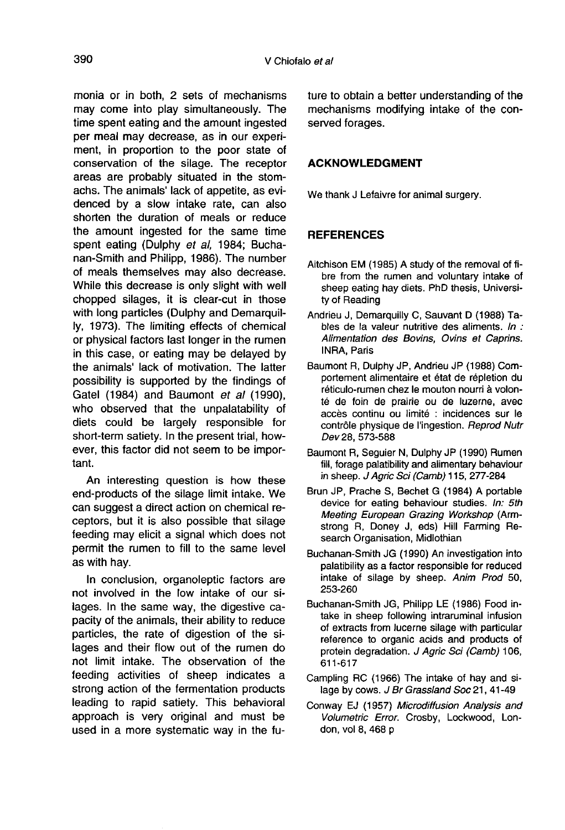monia or in both, 2 sets of mechanisms may come into play simultaneously. The time spent eating and the amount ingested per meal may decrease, as in our experiment, in proportion to the poor state of conservation of the silage. The receptor areas are probably situated in the stomachs. The animals' lack of appetite, as evidenced by a slow intake rate, can also shorten the duration of meals or reduce the amount ingested for the same time spent eating (Dulphy et al, 1984; Buchanan-Smith and Philipp, 1986). The number of meals themselves may also decrease. While this decrease is only slight with well chopped silages, it is clear-cut in those with long particles (Dulphy and Demarquilly, 1973). The limiting effects of chemical or physical factors last longer in the rumen in this case, or eating may be delayed by the animals' lack of motivation. The latter possibility is supported by the findings of Gatel (1984) and Baumont et al (1990), who observed that the unpalatability of diets could be largely responsible for short-term satiety. In the present trial, however, this factor did not seem to be important.

An interesting question is how these end-products of the silage limit intake. We can suggest a direct action on chemical receptors, but it is also possible that silage feeding may elicit a signal which does not permit the rumen to fill to the same level as with hay.

In conclusion, organoleptic factors are not involved in the low intake of our silages. In the same way, the digestive capacity of the animals, their ability to reduce particles, the rate of digestion of the silages and their flow out of the rumen do not limit intake. The observation of the feeding activities of sheep indicates a strong action of the fermentation products leading to rapid satiety. This behavioral approach is very original and must be used in a more systematic way in the future to obtain a better understanding of the mechanisms modifying intake of the conserved forages.

## ACKNOWLEDGMENT

We thank J Lefaivre for animal surgery.

## **REFERENCES**

- Aitchison EM (1985) A study of the removal of fibre from the rumen and voluntary intake of sheep eating hay diets. PhD thesis, University of Reading
- Andrieu J, Demarquilly C, Sauvant D (1988) Tables de la valeur nutritive des aliments. In : Alimentation des Bovins, Ovins et Caprins. INRA, Paris
- Baumont R, Dulphy JP, Andrieu JP (1988) Comportement alimentaire et état de répletion du réticulo-rumen chez le mouton nourri à volonté de foin de prairie ou de luzerne, avec accès continu ou limité : incidences sur le contrôle physique de l'ingestion. Reprod Nutr Dev28, 573-588
- Baumont R, Seguier N, Dulphy JP (1990) Rumen fill, forage palatibility and alimentary behaviour in sheep. J Agric Sci (Camb) 115, 277-284
- Brun JP, Prache S, Bechet G (1984) A portable device for eating behaviour studies. In: 5th Meeting European Grazing Workshop (Armstrong R, Doney J, eds) Hill Farming Research Organisation, Midlothian
- Buchanan-Smith JG (1990) An investigation into palatibility as a factor responsible for reduced intake of silage by sheep. Anim Prod 50, 253-260
- Buchanan-Smith JG, Philipp LE (1986) Food intake in sheep following intraruminal infusion of extracts from lucerne silage with particular reference to organic acids and products of protein degradation. J Agric Sci (Camb) 106, 611-617
- Campling RC (1966) The intake of hay and silage by cows. J Br Grassland Soc 21, 41-49
- Conway EJ (1957) Microdiffusion Analysis and Volumetric Error. Crosby, Lockwood, London, vol 8, 468 p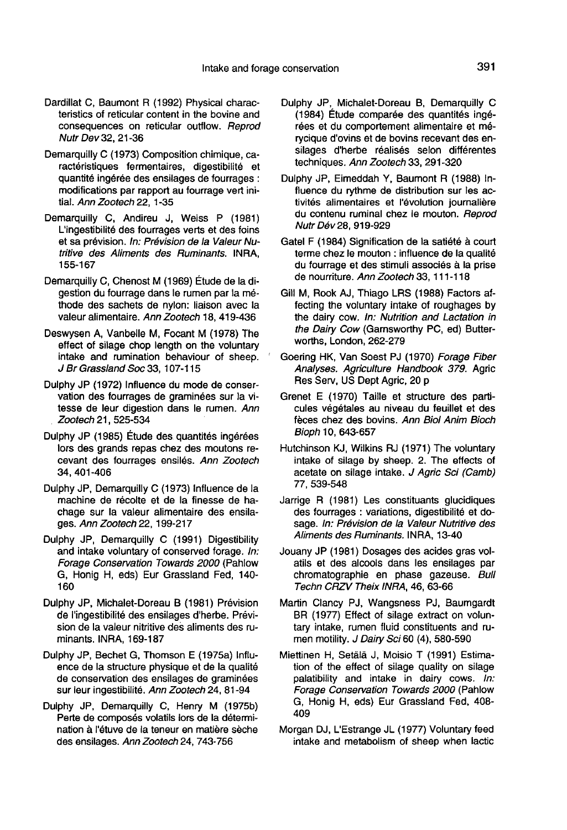- Dardillat C, Baumont R (1992) Physical characteristics of reticular content in the bovine and consequences on reticular outflow. Reprod Nutr Dev 32, 21-36
- Demarquilly C (1973) Composition chimique, caractéristiques fermentaires, digestibilité et quantité ingérée des ensilages de fourrages : modifications par rapport au fourrage vert initial. Ann Zootech 22, 1-35
- Demarquilly C, Andireu J, Weiss P (1981) L'ingestibilité des fourrages verts et des foins et sa prévision. In: Prévision de la Valeur Nutritive des Aliments des Ruminants. INRA, 155-167
- Demarquilly C, Chenost M (1969) Étude de la digestion du fourrage dans le rumen par la methode des sachets de nylon: liaison avec la valeur alimentaire. Ann Zootech 18, 419-436
- Deswysen A, Vanbelle M, Focant M (1978) The effect of silage chop length on the voluntary intake and rumination behaviour of sheep. J Br Grassland Soc 33, 107-115
- Dulphy JP (1972) Influence du mode de conservation des fourrages de graminées sur la vitesse de leur digestion dans le rumen. Ann Zootech 21, 525-534
- Dulphy JP (1985) Étude des quantités ingérées lors des grands repas chez des moutons recevant des fourrages ensilés. Ann Zootech 34, 401-406
- Dulphy JP, Demarquilly C (1973) Influence de la machine de récolte et de la finesse de hachage sur la valeur alimentaire des ensilages. Ann Zootech 22, 199-217
- Dulphy JP, Demarquilly C (1991) Digestibility and intake voluntary of conserved forage. In: Forage Conservation Towards 2000 (Pahlow G, Honig H, eds) Eur Grassland Fed, 140- 160
- Dulphy JP, Michalet-Doreau B (1981) Prévision de l'ingestibilité des ensilages d'herbe. Prévision de la valeur nitritive des aliments des ruminants. INRA, 169-187
- Dulphy JP, Bechet G, Thomson E (1975a) Influence de la structure physique et de la qualité de conservation des ensilages de graminées sur leur ingestibilité. Ann Zootech 24, 81-94
- Dulphy JP, Demarquilly C, Henry M (1975b) Perte de composés volatils lors de la détermination à l'étuve de la teneur en matière sèche des ensilages. Ann Zootech 24, 743-756
- Dulphy JP, Michalet-Doreau B, Demarquilly C (1984) Étude comparée des quantités ingérées et du comportement alimentaire et mérycique d'ovins et de bovins recevant des en-<br>silages d'herbe réalisés selon différentes phy JP, Michalet-Doreau B, Demarquilly C<br>(1984) Étude comparée des quantités ingé-<br>rées et du comportement alimentaire et mé-<br>rycique d'ovins et de bovins recevant des en-<br>silages d'herbe réalisés selon différentes<br>techniq techniques. Ann Zootech 33, 291-320
- Dulphy JP, Eimeddah Y, Baumont R (1988) Influence du rythme de distribution sur les activités alimentaires et l'évolution journalière du contenu ruminal chez le mouton. Reprod Nutr Dév 28, 919-929
- Gatel F (1984) Signification de la satiété à court terme chez le mouton : influence de la qualité du fourrage et des stimuli associés à la prise de nourriture. Ann Zootech 33, 111-118
- Gill M, Rook AJ, Thiago LRS (1988) Factors affecting the voluntary intake of roughages by the dairy cow. In: Nutrition and Lactation in the Dairy Cow (Garnsworthy PC, ed) Butterworths, London, 262-279
- Goering HK, Van Soest PJ (1970) Forage Fiber Analyses. Agriculture Handbook 379. Agric Res Serv, US Dept Agric, 20 p
- Grenet E (1970) Taille et structure des particules végétales au niveau du feuillet et des feces chez des bovins. Ann Biol Anim Bioch Bioph 10, 643-657
- Hutchinson KJ, Wilkins RJ (1971) The voluntary intake of silage by sheep. 2. The effects of acetate on silage intake. J Agric Sci (Camb) 77, 539-548
- Jarrige R (1981) Les constituants glucidiques des fourrages : variations, digestibilité et dosage. In: Prévision de la Valeur Nutritive des Aliments des Ruminants. INRA, 13-40
- Jouany JP (1981) Dosages des acides gras volatils et des alcools dans les ensilages par chromatographie en phase gazeuse. Bull Techn CRZV Theix INRA, 46, 63-66
- Martin Clancy PJ, Wangsness PJ, Baumgardt BR (1977) Effect of silage extract on voluntary intake, rumen fluid constituents and rumen motility. J Dairy Sci 60 (4), 580-590
- Miettinen H, Setala J, Moisio T (1991) Estimation of the effect of silage quality on silage palatibility and intake in dairy cows. In: Forage Conservation Towards 2000 (Pahlow G, Honig H, eds) Eur Grassland Fed, 408- 409
- Morgan DJ, L'Estrange JL (1977) Voluntary feed intake and metabolism of sheep when lactic